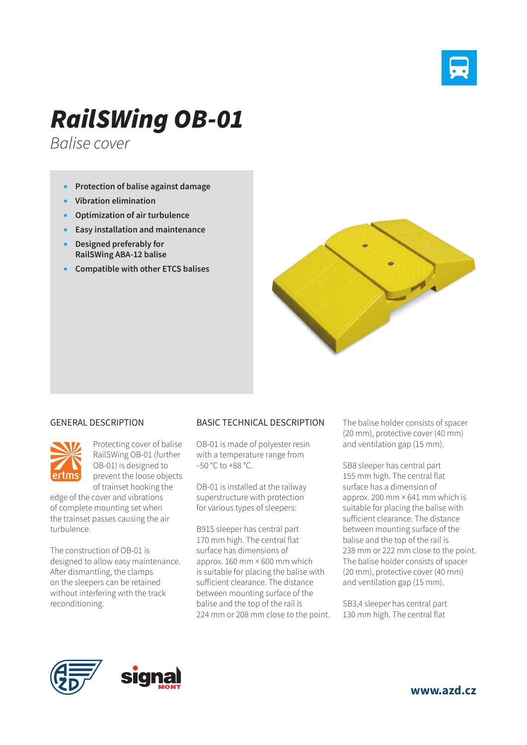

## *RailSWing OB-01*

*Balise cover*

- **Protection of balise against damage**
- **Vibration elimination**
- **Optimization of air turbulence**
- **Easy installation and maintenance**
- **Designed preferably for RailSWing ABA-12 balise**
- **Compatible with other ETCS balises**



## GENERAL DESCRIPTION



Protecting cover of balise RailSWing OB-01 (further OB-01) is designed to prevent the loose objects of trainset hooking the

edge of the cover and vibrations of complete mounting set when the trainset passes causing the air turbulence.

The construction of OB-01 is designed to allow easy maintenance. After dismantling, the clamps on the sleepers can be retained without interfering with the track reconditioning.

## BASIC TECHNICAL DESCRIPTION

OB-01 is made of polyester resin with a temperature range from –50 °C to +88 °C.

OB-01 is installed at the railway superstructure with protection for various types of sleepers:

B91S sleeper has central part 170 mm high. The central flat surface has dimensions of approx. 160 mm × 600 mm which is suitable for placing the balise with sufficient clearance. The distance between mounting surface of the balise and the top of the rail is 224 mm or 208 mm close to the point. The balise holder consists of spacer (20 mm), protective cover (40 mm) and ventilation gap (15 mm).

SB8 sleeper has central part 155 mm high. The central flat surface has a dimension of approx. 200 mm × 641 mm which is suitable for placing the balise with sufficient clearance. The distance between mounting surface of the balise and the top of the rail is 238 mm or 222 mm close to the point. The balise holder consists of spacer (20 mm), protective cover (40 mm) and ventilation gap (15 mm).

SB3,4 sleeper has central part 130 mm high. The central flat





**www.azd.cz**